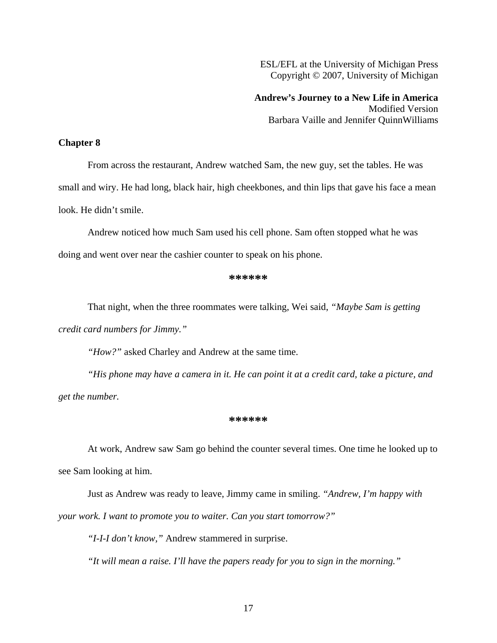ESL/EFL at the University of Michigan Press Copyright © 2007, University of Michigan

**Andrew's Journey to a New Life in America**  Modified Version Barbara Vaille and Jennifer QuinnWilliams

## **Chapter 8**

From across the restaurant, Andrew watched Sam, the new guy, set the tables. He was small and wiry. He had long, black hair, high cheekbones, and thin lips that gave his face a mean look. He didn't smile.

Andrew noticed how much Sam used his cell phone. Sam often stopped what he was

doing and went over near the cashier counter to speak on his phone.

## **\*\*\*\*\*\***

That night, when the three roommates were talking, Wei said, *"Maybe Sam is getting credit card numbers for Jimmy."*

*"How?"* asked Charley and Andrew at the same time.

*"His phone may have a camera in it. He can point it at a credit card, take a picture, and get the number.* 

## **\*\*\*\*\*\***

At work, Andrew saw Sam go behind the counter several times. One time he looked up to see Sam looking at him.

Just as Andrew was ready to leave, Jimmy came in smiling. *"Andrew, I'm happy with your work. I want to promote you to waiter. Can you start tomorrow?"* 

*"I-I-I don't know,"* Andrew stammered in surprise.

*"It will mean a raise. I'll have the papers ready for you to sign in the morning."*